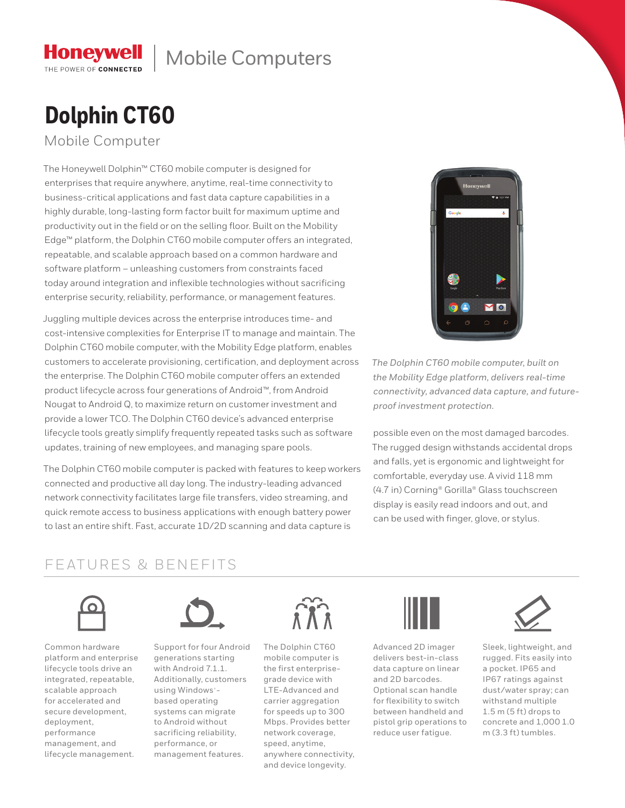## Mobile Computers

# **Dolphin CT60**

Mobile Computer

**Honeywell** THE POWER OF CONNECTED

The Honeywell Dolphin™ CT60 mobile computer is designed for enterprises that require anywhere, anytime, real-time connectivity to business-critical applications and fast data capture capabilities in a highly durable, long-lasting form factor built for maximum uptime and productivity out in the field or on the selling floor. Built on the Mobility Edge™ platform, the Dolphin CT60 mobile computer offers an integrated, repeatable, and scalable approach based on a common hardware and software platform – unleashing customers from constraints faced today around integration and inflexible technologies without sacrificing enterprise security, reliability, performance, or management features.

Juggling multiple devices across the enterprise introduces time- and cost-intensive complexities for Enterprise IT to manage and maintain. The Dolphin CT60 mobile computer, with the Mobility Edge platform, enables customers to accelerate provisioning, certification, and deployment across the enterprise. The Dolphin CT60 mobile computer offers an extended product lifecycle across four generations of Android™, from Android Nougat to Android Q, to maximize return on customer investment and provide a lower TCO. The Dolphin CT60 device's advanced enterprise lifecycle tools greatly simplify frequently repeated tasks such as software updates, training of new employees, and managing spare pools.

The Dolphin CT60 mobile computer is packed with features to keep workers connected and productive all day long. The industry-leading advanced network connectivity facilitates large file transfers, video streaming, and quick remote access to business applications with enough battery power to last an entire shift. Fast, accurate 1D/2D scanning and data capture is



*The Dolphin CT60 mobile computer, built on the Mobility Edge platform, delivers real-time connectivity, advanced data capture, and futureproof investment protection.*

possible even on the most damaged barcodes. The rugged design withstands accidental drops and falls, yet is ergonomic and lightweight for comfortable, everyday use. A vivid 118 mm (4.7 in) Corning® Gorilla® Glass touchscreen display is easily read indoors and out, and can be used with finger, glove, or stylus.

### FEATURES & BENEFITS



Common hardware platform and enterprise lifecycle tools drive an integrated, repeatable, scalable approach for accelerated and secure development, deployment, performance management, and lifecycle management.



Support for four Android generations starting with Android 7.1.1. Additionally, customers using Windows<sup>®</sup>based operating systems can migrate to Android without sacrificing reliability, performance, or management features.



The Dolphin CT60 mobile computer is the first enterprisegrade device with LTE-Advanced and carrier aggregation for speeds up to 300 Mbps. Provides better network coverage, speed, anytime, anywhere connectivity, and device longevity.



Advanced 2D imager delivers best-in-class data capture on linear and 2D barcodes. Optional scan handle for flexibility to switch between handheld and pistol grip operations to reduce user fatigue.



Sleek, lightweight, and rugged. Fits easily into a pocket. IP65 and IP67 ratings against dust/water spray; can withstand multiple 1.5 m (5 ft) drops to concrete and 1,000 1.0 m (3.3 ft) tumbles.